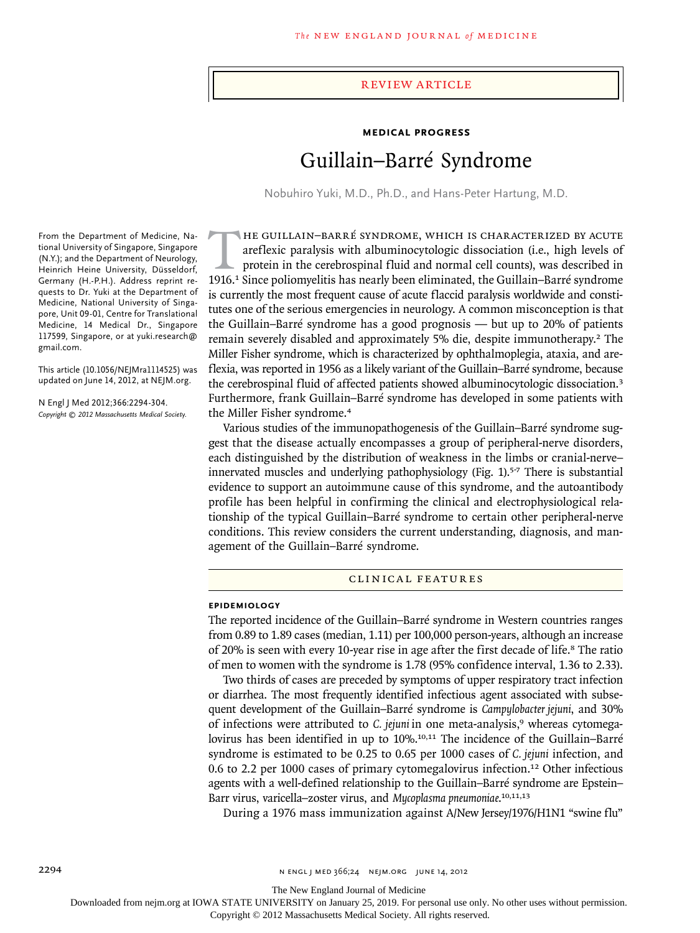#### Review article

## **Medical Progress**

# Guillain–Barré Syndrome

Nobuhiro Yuki, M.D., Ph.D., and Hans-Peter Hartung, M.D.

From the Department of Medicine, National University of Singapore, Singapore (N.Y.); and the Department of Neurology, Heinrich Heine University, Düsseldorf, Germany (H.-P.H.). Address reprint requests to Dr. Yuki at the Department of Medicine, National University of Singapore, Unit 09-01, Centre for Translational Medicine, 14 Medical Dr., Singapore 117599, Singapore, or at yuki.research@ gmail.com.

This article (10.1056/NEJMra1114525) was updated on June 14, 2012, at NEJM.org.

N Engl J Med 2012;366:2294-304. *Copyright © 2012 Massachusetts Medical Society.*

HE GUILLAIN–BARRÉ SYNDROME, WHICH IS CHARACTERIZED BY ACUTE<br>areflexic paralysis with albuminocytologic dissociation (i.e., high levels of<br>protein in the cerebrospinal fluid and normal cell counts), was described in<br>1916.<sup>1</sup> areflexic paralysis with albuminocytologic dissociation (i.e., high levels of protein in the cerebrospinal fluid and normal cell counts), was described in 1916.1 Since poliomyelitis has nearly been eliminated, the Guillain–Barré syndrome is currently the most frequent cause of acute flaccid paralysis worldwide and constitutes one of the serious emergencies in neurology. A common misconception is that the Guillain–Barré syndrome has a good prognosis — but up to 20% of patients remain severely disabled and approximately 5% die, despite immunotherapy.2 The Miller Fisher syndrome, which is characterized by ophthalmoplegia, ataxia, and areflexia, was reported in 1956 as a likely variant of the Guillain–Barré syndrome, because the cerebrospinal fluid of affected patients showed albuminocytologic dissociation.<sup>3</sup> Furthermore, frank Guillain–Barré syndrome has developed in some patients with the Miller Fisher syndrome.<sup>4</sup>

Various studies of the immunopathogenesis of the Guillain–Barré syndrome suggest that the disease actually encompasses a group of peripheral-nerve disorders, each distinguished by the distribution of weakness in the limbs or cranial-nerve– innervated muscles and underlying pathophysiology (Fig. 1).5-7 There is substantial evidence to support an autoimmune cause of this syndrome, and the autoantibody profile has been helpful in confirming the clinical and electrophysiological relationship of the typical Guillain–Barré syndrome to certain other peripheral-nerve conditions. This review considers the current understanding, diagnosis, and management of the Guillain–Barré syndrome.

## CLINIC A L FE AT UR ES

#### **EPIDEMIOLOGY**

The reported incidence of the Guillain–Barré syndrome in Western countries ranges from 0.89 to 1.89 cases (median, 1.11) per 100,000 person-years, although an increase of 20% is seen with every 10-year rise in age after the first decade of life.8 The ratio of men to women with the syndrome is 1.78 (95% confidence interval, 1.36 to 2.33).

Two thirds of cases are preceded by symptoms of upper respiratory tract infection or diarrhea. The most frequently identified infectious agent associated with subsequent development of the Guillain–Barré syndrome is *Campylobacter jejuni*, and 30% of infections were attributed to *C. jejuni* in one meta-analysis,9 whereas cytomegalovirus has been identified in up to 10%.<sup>10,11</sup> The incidence of the Guillain–Barré syndrome is estimated to be 0.25 to 0.65 per 1000 cases of *C. jejuni* infection, and 0.6 to 2.2 per 1000 cases of primary cytomegalovirus infection.12 Other infectious agents with a well-defined relationship to the Guillain–Barré syndrome are Epstein– Barr virus, varicella–zoster virus, and *Mycoplasma pneumoniae*. 10,11,13

During a 1976 mass immunization against A/New Jersey/1976/H1N1 "swine flu"

The New England Journal of Medicine

Downloaded from nejm.org at IOWA STATE UNIVERSITY on January 25, 2019. For personal use only. No other uses without permission.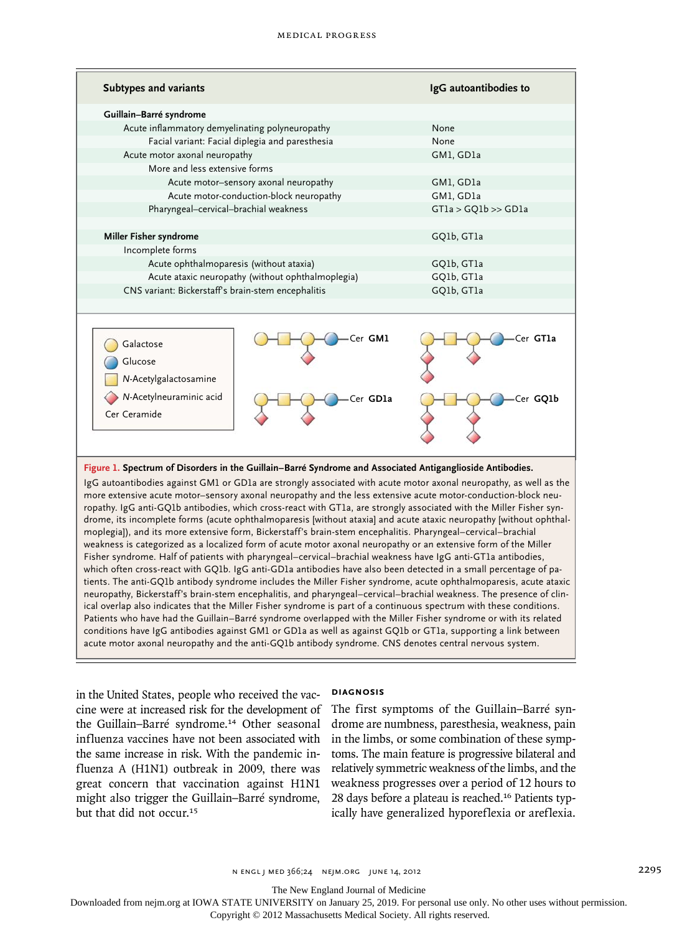| <b>Subtypes and variants</b>                                                             |                     | IgG autoantibodies to       |
|------------------------------------------------------------------------------------------|---------------------|-----------------------------|
| Guillain-Barré syndrome                                                                  |                     |                             |
| Acute inflammatory demyelinating polyneuropathy                                          |                     | None                        |
| Facial variant: Facial diplegia and paresthesia                                          |                     | None                        |
| Acute motor axonal neuropathy                                                            |                     | GM1, GD1a                   |
| More and less extensive forms                                                            |                     |                             |
| Acute motor-sensory axonal neuropathy                                                    |                     | GM1, GD1a                   |
| Acute motor-conduction-block neuropathy                                                  |                     | GM1, GD1a                   |
| Pharyngeal-cervical-brachial weakness                                                    |                     | GTla > GQ1b >> GD1a         |
|                                                                                          |                     |                             |
| Miller Fisher syndrome                                                                   |                     | GO1b, GT1a                  |
| Incomplete forms                                                                         |                     |                             |
| Acute ophthalmoparesis (without ataxia)                                                  |                     | GQ1b, GT1a                  |
| Acute ataxic neuropathy (without ophthalmoplegia)                                        |                     | GQ1b, GT1a                  |
| CNS variant: Bickerstaff's brain-stem encephalitis                                       |                     | GQ1b, GT1a                  |
|                                                                                          |                     |                             |
| Galactose<br>Glucose<br>N-Acetylgalactosamine<br>N-Acetylneuraminic acid<br>Cer Ceramide | Cer GM1<br>Cer GDla | Cer GT1a<br>Cer <b>GO1b</b> |

#### **Figure 1. Spectrum of Disorders in the Guillain–Barré Syndrome and Associated Antiganglioside Antibodies.**

IgG autoantibodies against GM1 or GD1a are strongly associated with acute motor axonal neuropathy, as well as the more extensive acute motor–sensory axonal neuropathy and the less extensive acute motor-conduction-block neuropathy. IgG anti-GQ1b antibodies, which cross-react with GT1a, are strongly associated with the Miller Fisher syndrome, its incomplete forms (acute ophthalmoparesis [without ataxia] and acute ataxic neuropathy [without ophthalmoplegia]), and its more extensive form, Bickerstaff's brain-stem encephalitis. Pharyngeal–cervical–brachial weakness is categorized as a localized form of acute motor axonal neuropathy or an extensive form of the Miller Fisher syndrome. Half of patients with pharyngeal–cervical–brachial weakness have IgG anti-GT1a antibodies, which often cross-react with GQ1b. IgG anti-GD1a antibodies have also been detected in a small percentage of patients. The anti-GQ1b antibody syndrome includes the Miller Fisher syndrome, acute ophthalmoparesis, acute ataxic neuropathy, Bickerstaff's brain-stem encephalitis, and pharyngeal–cervical–brachial weakness. The presence of clinical overlap also indicates that the Miller Fisher syndrome is part of a continuous spectrum with these conditions. Patients who have had the Guillain–Barré syndrome overlapped with the Miller Fisher syndrome or with its related conditions have IgG antibodies against GM1 or GD1a as well as against GQ1b or GT1a, supporting a link between acute motor axonal neuropathy and the anti-GQ1b antibody syndrome. CNS denotes central nervous system.

in the United States, people who received the vaccine were at increased risk for the development of the Guillain–Barré syndrome.14 Other seasonal influenza vaccines have not been associated with the same increase in risk. With the pandemic influenza A (H1N1) outbreak in 2009, there was great concern that vaccination against H1N1 might also trigger the Guillain–Barré syndrome, but that did not occur.<sup>15</sup>

## **DIAGNOSIS**

The first symptoms of the Guillain–Barré syndrome are numbness, paresthesia, weakness, pain in the limbs, or some combination of these symptoms. The main feature is progressive bilateral and relatively symmetric weakness of the limbs, and the weakness progresses over a period of 12 hours to 28 days before a plateau is reached.16 Patients typically have generalized hyporeflexia or areflexia.

n engl j med 366;24 nejm.org june 14, 2012 2295

The New England Journal of Medicine

Downloaded from nejm.org at IOWA STATE UNIVERSITY on January 25, 2019. For personal use only. No other uses without permission.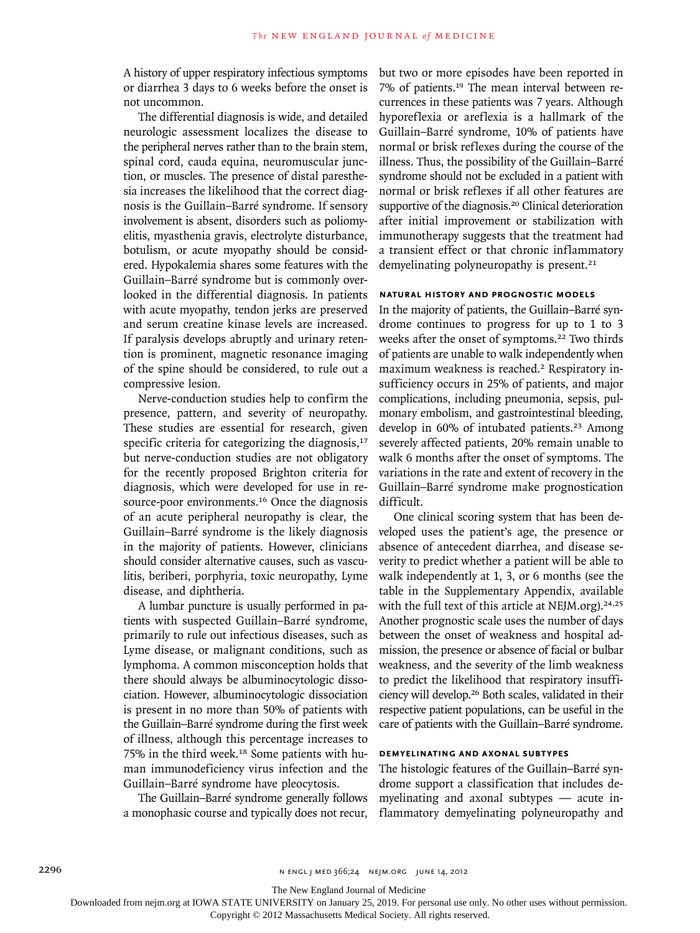A history of upper respiratory infectious symptoms or diarrhea 3 days to 6 weeks before the onset is not uncommon.

The differential diagnosis is wide, and detailed neurologic assessment localizes the disease to the peripheral nerves rather than to the brain stem, spinal cord, cauda equina, neuromuscular junction, or muscles. The presence of distal paresthesia increases the likelihood that the correct diagnosis is the Guillain–Barré syndrome. If sensory involvement is absent, disorders such as poliomyelitis, myasthenia gravis, electrolyte disturbance, botulism, or acute myopathy should be considered. Hypokalemia shares some features with the Guillain–Barré syndrome but is commonly overlooked in the differential diagnosis. In patients with acute myopathy, tendon jerks are preserved and serum creatine kinase levels are increased. If paralysis develops abruptly and urinary retention is prominent, magnetic resonance imaging of the spine should be considered, to rule out a compressive lesion.

Nerve-conduction studies help to confirm the presence, pattern, and severity of neuropathy. These studies are essential for research, given specific criteria for categorizing the diagnosis, $17$ but nerve-conduction studies are not obligatory for the recently proposed Brighton criteria for diagnosis, which were developed for use in resource-poor environments.<sup>16</sup> Once the diagnosis of an acute peripheral neuropathy is clear, the Guillain–Barré syndrome is the likely diagnosis in the majority of patients. However, clinicians should consider alternative causes, such as vasculitis, beriberi, porphyria, toxic neuropathy, Lyme disease, and diphtheria.

A lumbar puncture is usually performed in patients with suspected Guillain–Barré syndrome, primarily to rule out infectious diseases, such as Lyme disease, or malignant conditions, such as lymphoma. A common misconception holds that there should always be albuminocytologic dissociation. However, albuminocytologic dissociation is present in no more than 50% of patients with the Guillain–Barré syndrome during the first week of illness, although this percentage increases to 75% in the third week.18 Some patients with human immunodeficiency virus infection and the Guillain–Barré syndrome have pleocytosis.

The Guillain–Barré syndrome generally follows a monophasic course and typically does not recur,

but two or more episodes have been reported in 7% of patients.19 The mean interval between recurrences in these patients was 7 years. Although hyporeflexia or areflexia is a hallmark of the Guillain–Barré syndrome, 10% of patients have normal or brisk reflexes during the course of the illness. Thus, the possibility of the Guillain–Barré syndrome should not be excluded in a patient with normal or brisk reflexes if all other features are supportive of the diagnosis.<sup>20</sup> Clinical deterioration after initial improvement or stabilization with immunotherapy suggests that the treatment had a transient effect or that chronic inflammatory demyelinating polyneuropathy is present.<sup>21</sup>

# **NATURAL HISTORY AND PROGNOSTIC MODELS**

In the majority of patients, the Guillain–Barré syndrome continues to progress for up to 1 to 3 weeks after the onset of symptoms.22 Two thirds of patients are unable to walk independently when maximum weakness is reached.<sup>2</sup> Respiratory insufficiency occurs in 25% of patients, and major complications, including pneumonia, sepsis, pulmonary embolism, and gastrointestinal bleeding, develop in 60% of intubated patients.<sup>23</sup> Among severely affected patients, 20% remain unable to walk 6 months after the onset of symptoms. The variations in the rate and extent of recovery in the Guillain–Barré syndrome make prognostication difficult.

One clinical scoring system that has been developed uses the patient's age, the presence or absence of antecedent diarrhea, and disease severity to predict whether a patient will be able to walk independently at 1, 3, or 6 months (see the table in the Supplementary Appendix, available with the full text of this article at NEJM.org). $24,25$ Another prognostic scale uses the number of days between the onset of weakness and hospital admission, the presence or absence of facial or bulbar weakness, and the severity of the limb weakness to predict the likelihood that respiratory insufficiency will develop.26 Both scales, validated in their respective patient populations, can be useful in the care of patients with the Guillain–Barré syndrome.

## **DEMYELINATING AND AXONAL SUBTYPES**

The histologic features of the Guillain–Barré syndrome support a classification that includes demyelinating and axonal subtypes — acute inflammatory demyelinating polyneuropathy and

The New England Journal of Medicine

Downloaded from nejm.org at IOWA STATE UNIVERSITY on January 25, 2019. For personal use only. No other uses without permission.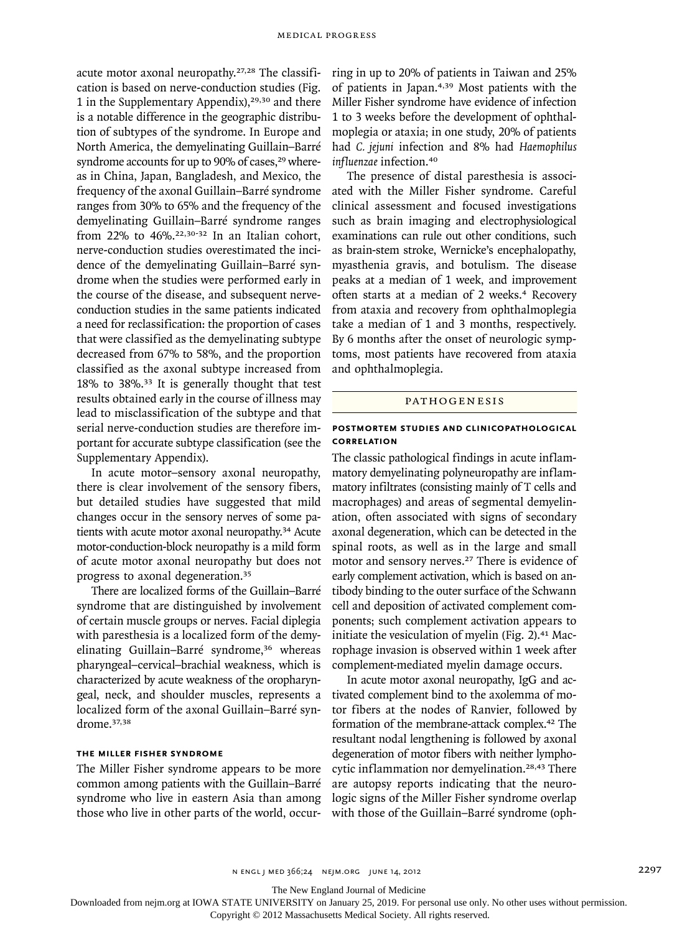acute motor axonal neuropathy.27,28 The classification is based on nerve-conduction studies (Fig. 1 in the Supplementary Appendix), $29,30$  and there is a notable difference in the geographic distribution of subtypes of the syndrome. In Europe and North America, the demyelinating Guillain–Barré syndrome accounts for up to 90% of cases,<sup>29</sup> whereas in China, Japan, Bangladesh, and Mexico, the frequency of the axonal Guillain–Barré syndrome ranges from 30% to 65% and the frequency of the demyelinating Guillain–Barré syndrome ranges from 22% to  $46\%$ .<sup>22,30-32</sup> In an Italian cohort, nerve-conduction studies overestimated the incidence of the demyelinating Guillain–Barré syndrome when the studies were performed early in the course of the disease, and subsequent nerveconduction studies in the same patients indicated a need for reclassification: the proportion of cases that were classified as the demyelinating subtype decreased from 67% to 58%, and the proportion classified as the axonal subtype increased from 18% to 38%.33 It is generally thought that test results obtained early in the course of illness may lead to misclassification of the subtype and that serial nerve-conduction studies are therefore important for accurate subtype classification (see the Supplementary Appendix).

In acute motor–sensory axonal neuropathy, there is clear involvement of the sensory fibers, but detailed studies have suggested that mild changes occur in the sensory nerves of some patients with acute motor axonal neuropathy.<sup>34</sup> Acute motor-conduction-block neuropathy is a mild form of acute motor axonal neuropathy but does not progress to axonal degeneration.<sup>35</sup>

There are localized forms of the Guillain–Barré syndrome that are distinguished by involvement of certain muscle groups or nerves. Facial diplegia with paresthesia is a localized form of the demyelinating Guillain–Barré syndrome,<sup>36</sup> whereas pharyngeal–cervical–brachial weakness, which is characterized by acute weakness of the oropharyngeal, neck, and shoulder muscles, represents a localized form of the axonal Guillain–Barré syndrome.37,38

## **THE MILLER FISHER SYNDROME**

The Miller Fisher syndrome appears to be more common among patients with the Guillain–Barré syndrome who live in eastern Asia than among those who live in other parts of the world, occurring in up to 20% of patients in Taiwan and 25% of patients in Japan.4,39 Most patients with the Miller Fisher syndrome have evidence of infection 1 to 3 weeks before the development of ophthalmoplegia or ataxia; in one study, 20% of patients had *C. jejuni* infection and 8% had *Haemophilus influenzae* infection.<sup>40</sup>

The presence of distal paresthesia is associated with the Miller Fisher syndrome. Careful clinical assessment and focused investigations such as brain imaging and electrophysiological examinations can rule out other conditions, such as brain-stem stroke, Wernicke's encephalopathy, myasthenia gravis, and botulism. The disease peaks at a median of 1 week, and improvement often starts at a median of 2 weeks.<sup>4</sup> Recovery from ataxia and recovery from ophthalmoplegia take a median of 1 and 3 months, respectively. By 6 months after the onset of neurologic symptoms, most patients have recovered from ataxia and ophthalmoplegia.

#### **PATHOGENESIS**

## **POSTMORTEM STUDIES AND CLINICOPATHOLOGICAL CORRELATION**

The classic pathological findings in acute inflammatory demyelinating polyneuropathy are inflammatory infiltrates (consisting mainly of T cells and macrophages) and areas of segmental demyelination, often associated with signs of secondary axonal degeneration, which can be detected in the spinal roots, as well as in the large and small motor and sensory nerves.<sup>27</sup> There is evidence of early complement activation, which is based on antibody binding to the outer surface of the Schwann cell and deposition of activated complement components; such complement activation appears to initiate the vesiculation of myelin (Fig. 2). $41$  Macrophage invasion is observed within 1 week after complement-mediated myelin damage occurs.

In acute motor axonal neuropathy, IgG and activated complement bind to the axolemma of motor fibers at the nodes of Ranvier, followed by formation of the membrane-attack complex.42 The resultant nodal lengthening is followed by axonal degeneration of motor fibers with neither lymphocytic inflammation nor demyelination.<sup>28,43</sup> There are autopsy reports indicating that the neurologic signs of the Miller Fisher syndrome overlap with those of the Guillain–Barré syndrome (oph-

n engl j med 366;24 nejm.org june 14, 2012 2297

The New England Journal of Medicine

Downloaded from nejm.org at IOWA STATE UNIVERSITY on January 25, 2019. For personal use only. No other uses without permission.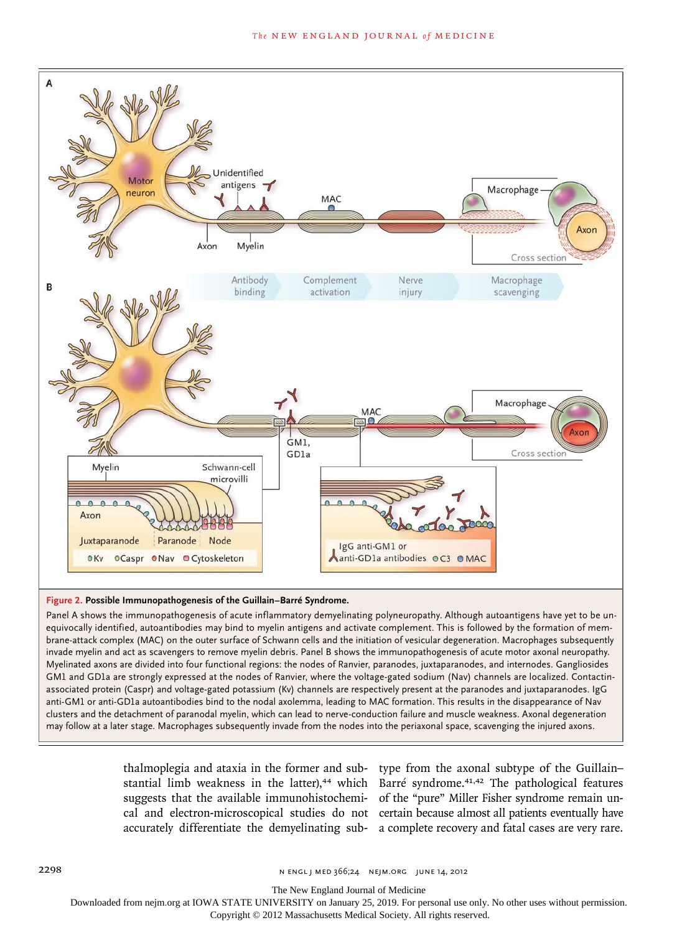

#### **Figure 2. Possible Immunopathogenesis of the Guillain–Barré Syndrome.**

Panel A shows the immunopathogenesis of acute inflammatory demyelinating polyneuropathy. Although autoantigens have yet to be unequivocally identified, autoantibodies may bind to myelin antigens and activate complement. This is followed by the formation of membrane-attack complex (MAC) on the outer surface of Schwann cells and the initiation of vesicular degeneration. Macrophages subsequently invade myelin and act as scavengers to remove myelin debris. Panel B shows the immunopathogenesis of acute motor axonal neuropathy. Myelinated axons are divided into four functional regions: the nodes of Ranvier, paranodes, juxtaparanodes, and internodes. Gangliosides GM1 and GD1a are strongly expressed at the nodes of Ranvier, where the voltage-gated sodium (Nav) channels are localized. Contactinassociated protein (Caspr) and voltage-gated potassium (Kv) channels are respectively present at the paranodes and juxtaparanodes. IgG anti-GM1 or anti-GD1a autoantibodies bind to the nodal axolemma, leading to MAC formation. This results in the disappearance of Nav clusters and the detachment of paranodal myelin, which can lead to nerve-conduction failure and muscle weakness. Axonal degeneration may follow at a later stage. Macrophages subsequently invade from the nodes into the periaxonal space, scavenging the injured axons.

thalmoplegia and ataxia in the former and sub-type from the axonal subtype of the Guillain– stantial limb weakness in the latter),<sup>44</sup> which Barré syndrome.<sup>41,42</sup> The pathological features suggests that the available immunohistochemi-of the "pure" Miller Fisher syndrome remain uncal and electron-microscopical studies do not certain because almost all patients eventually have accurately differentiate the demyelinating sub-a complete recovery and fatal cases are very rare.

The New England Journal of Medicine

Downloaded from nejm.org at IOWA STATE UNIVERSITY on January 25, 2019. For personal use only. No other uses without permission.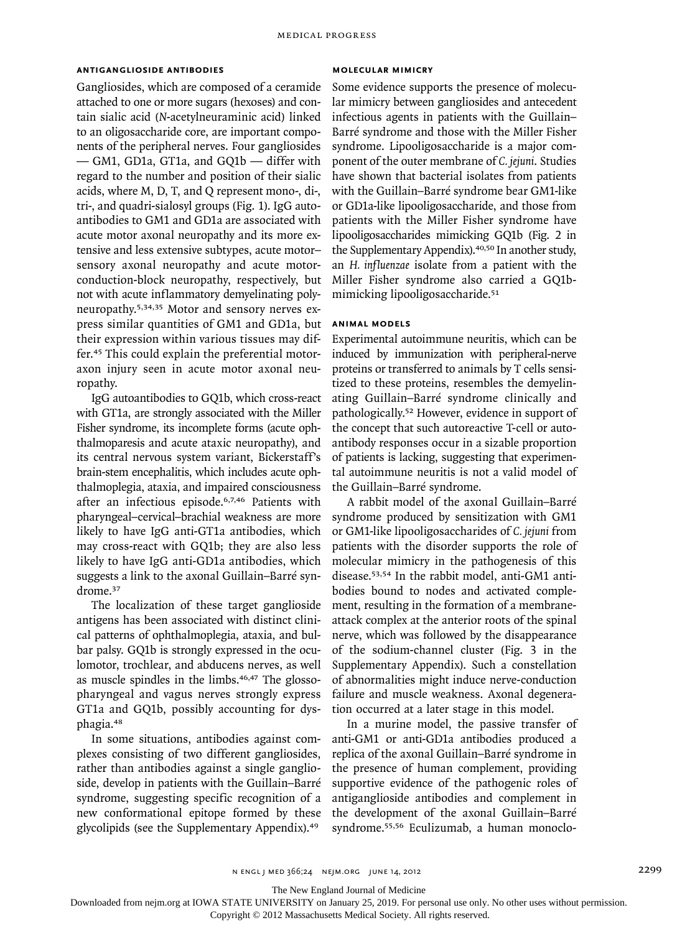## **ANTIGANGLIOSIDE ANTIBODIES**

Gangliosides, which are composed of a ceramide attached to one or more sugars (hexoses) and contain sialic acid (*N*-acetylneuraminic acid) linked to an oligosaccharide core, are important components of the peripheral nerves. Four gangliosides — GM1, GD1a, GT1a, and GQ1b — differ with regard to the number and position of their sialic acids, where M, D, T, and Q represent mono-, di-, tri-, and quadri-sialosyl groups (Fig. 1). IgG autoantibodies to GM1 and GD1a are associated with acute motor axonal neuropathy and its more extensive and less extensive subtypes, acute motor– sensory axonal neuropathy and acute motorconduction-block neuropathy, respectively, but not with acute inflammatory demyelinating polyneuropathy.5,34,35 Motor and sensory nerves express similar quantities of GM1 and GD1a, but their expression within various tissues may differ.45 This could explain the preferential motoraxon injury seen in acute motor axonal neuropathy.

IgG autoantibodies to GQ1b, which cross-react with GT1a, are strongly associated with the Miller Fisher syndrome, its incomplete forms (acute ophthalmoparesis and acute ataxic neuropathy), and its central nervous system variant, Bickerstaff's brain-stem encephalitis, which includes acute ophthalmoplegia, ataxia, and impaired consciousness after an infectious episode.6,7,46 Patients with pharyngeal–cervical–brachial weakness are more likely to have IgG anti-GT1a antibodies, which may cross-react with GQ1b; they are also less likely to have IgG anti-GD1a antibodies, which suggests a link to the axonal Guillain–Barré syndrome.<sup>37</sup>

The localization of these target ganglioside antigens has been associated with distinct clinical patterns of ophthalmoplegia, ataxia, and bulbar palsy. GQ1b is strongly expressed in the oculomotor, trochlear, and abducens nerves, as well as muscle spindles in the limbs.<sup>46,47</sup> The glossopharyngeal and vagus nerves strongly express GT1a and GQ1b, possibly accounting for dysphagia.<sup>48</sup>

In some situations, antibodies against complexes consisting of two different gangliosides, rather than antibodies against a single ganglioside, develop in patients with the Guillain–Barré syndrome, suggesting specific recognition of a new conformational epitope formed by these glycolipids (see the Supplementary Appendix).<sup>49</sup>

## **MOLECULAR MIMICRY**

Some evidence supports the presence of molecular mimicry between gangliosides and antecedent infectious agents in patients with the Guillain– Barré syndrome and those with the Miller Fisher syndrome. Lipooligosaccharide is a major component of the outer membrane of *C. jejuni*. Studies have shown that bacterial isolates from patients with the Guillain–Barré syndrome bear GM1-like or GD1a-like lipooligosaccharide, and those from patients with the Miller Fisher syndrome have lipooligosaccharides mimicking GQ1b (Fig. 2 in the Supplementary Appendix).40,50 In another study, an *H. influenzae* isolate from a patient with the Miller Fisher syndrome also carried a GQ1bmimicking lipooligosaccharide.<sup>51</sup>

## **ANIMAL MODELS**

Experimental autoimmune neuritis, which can be induced by immunization with peripheral-nerve proteins or transferred to animals by T cells sensitized to these proteins, resembles the demyelinating Guillain–Barré syndrome clinically and pathologically.52 However, evidence in support of the concept that such autoreactive T-cell or autoantibody responses occur in a sizable proportion of patients is lacking, suggesting that experimental autoimmune neuritis is not a valid model of the Guillain–Barré syndrome.

A rabbit model of the axonal Guillain–Barré syndrome produced by sensitization with GM1 or GM1-like lipooligosaccharides of *C. jejuni* from patients with the disorder supports the role of molecular mimicry in the pathogenesis of this disease.53,54 In the rabbit model, anti-GM1 antibodies bound to nodes and activated complement, resulting in the formation of a membraneattack complex at the anterior roots of the spinal nerve, which was followed by the disappearance of the sodium-channel cluster (Fig. 3 in the Supplementary Appendix). Such a constellation of abnormalities might induce nerve-conduction failure and muscle weakness. Axonal degeneration occurred at a later stage in this model.

In a murine model, the passive transfer of anti-GM1 or anti-GD1a antibodies produced a replica of the axonal Guillain–Barré syndrome in the presence of human complement, providing supportive evidence of the pathogenic roles of antiganglioside antibodies and complement in the development of the axonal Guillain–Barré syndrome.55,56 Eculizumab, a human monoclo-

The New England Journal of Medicine

Downloaded from nejm.org at IOWA STATE UNIVERSITY on January 25, 2019. For personal use only. No other uses without permission.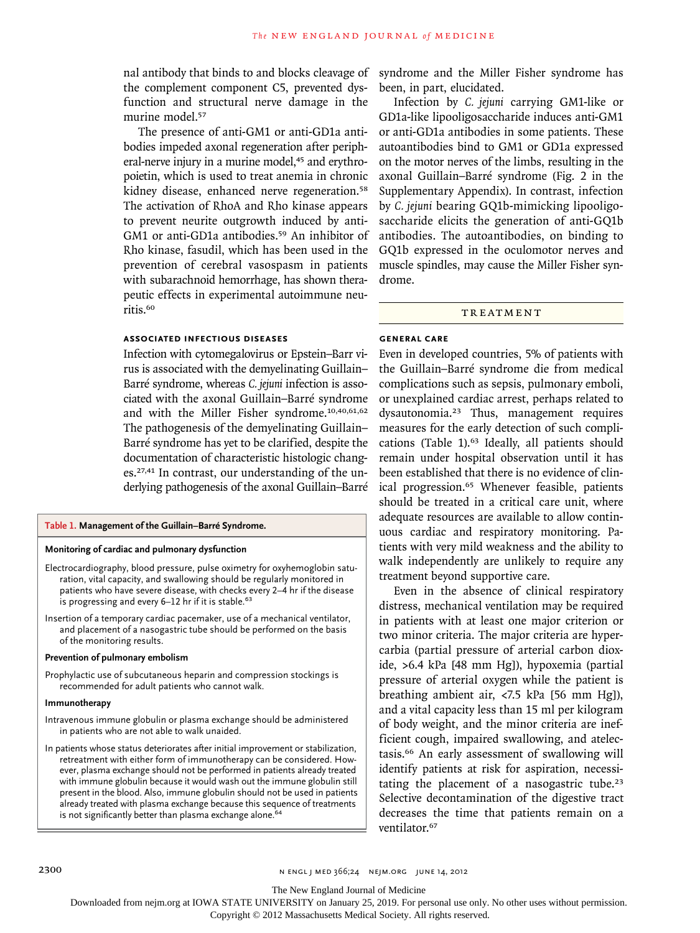nal antibody that binds to and blocks cleavage of the complement component C5, prevented dysfunction and structural nerve damage in the murine model.<sup>57</sup>

The presence of anti-GM1 or anti-GD1a antibodies impeded axonal regeneration after peripheral-nerve injury in a murine model,<sup>45</sup> and erythropoietin, which is used to treat anemia in chronic kidney disease, enhanced nerve regeneration.<sup>58</sup> The activation of RhoA and Rho kinase appears to prevent neurite outgrowth induced by anti-GM1 or anti-GD1a antibodies.<sup>59</sup> An inhibitor of Rho kinase, fasudil, which has been used in the prevention of cerebral vasospasm in patients with subarachnoid hemorrhage, has shown therapeutic effects in experimental autoimmune neuritis.<sup>60</sup>

## **ASSOCIATED INFECTIOUS DISEASES**

Infection with cytomegalovirus or Epstein–Barr virus is associated with the demyelinating Guillain– Barré syndrome, whereas *C. jejuni* infection is associated with the axonal Guillain–Barré syndrome and with the Miller Fisher syndrome.10,40,61,62 The pathogenesis of the demyelinating Guillain– Barré syndrome has yet to be clarified, despite the documentation of characteristic histologic changes.27,41 In contrast, our understanding of the underlying pathogenesis of the axonal Guillain–Barré

#### **Table 1. Management of the Guillain–Barré Syndrome.**

#### **Monitoring of cardiac and pulmonary dysfunction**

Electrocardiography, blood pressure, pulse oximetry for oxyhemoglobin saturation, vital capacity, and swallowing should be regularly monitored in patients who have severe disease, with checks every 2–4 hr if the disease is progressing and every  $6-12$  hr if it is stable.<sup>63</sup>

Insertion of a temporary cardiac pacemaker, use of a mechanical ventilator, and placement of a nasogastric tube should be performed on the basis of the monitoring results.

#### **Prevention of pulmonary embolism**

Prophylactic use of subcutaneous heparin and compression stockings is recommended for adult patients who cannot walk.

#### **Immunotherapy**

- Intravenous immune globulin or plasma exchange should be administered in patients who are not able to walk unaided.
- In patients whose status deteriorates after initial improvement or stabilization, retreatment with either form of immunotherapy can be considered. However, plasma exchange should not be performed in patients already treated with immune globulin because it would wash out the immune globulin still present in the blood. Also, immune globulin should not be used in patients already treated with plasma exchange because this sequence of treatments is not significantly better than plasma exchange alone.<sup>64</sup>

syndrome and the Miller Fisher syndrome has been, in part, elucidated.

Infection by *C. jejuni* carrying GM1-like or GD1a-like lipooligosaccharide induces anti-GM1 or anti-GD1a antibodies in some patients. These autoantibodies bind to GM1 or GD1a expressed on the motor nerves of the limbs, resulting in the axonal Guillain–Barré syndrome (Fig. 2 in the Supplementary Appendix). In contrast, infection by *C. jejuni* bearing GQ1b-mimicking lipooligosaccharide elicits the generation of anti-GQ1b antibodies. The autoantibodies, on binding to GQ1b expressed in the oculomotor nerves and muscle spindles, may cause the Miller Fisher syndrome.

## **TREATMENT**

#### **GENERAL CARE**

Even in developed countries, 5% of patients with the Guillain–Barré syndrome die from medical complications such as sepsis, pulmonary emboli, or unexplained cardiac arrest, perhaps related to dysautonomia.23 Thus, management requires measures for the early detection of such complications (Table 1).<sup>63</sup> Ideally, all patients should remain under hospital observation until it has been established that there is no evidence of clinical progression.<sup>65</sup> Whenever feasible, patients should be treated in a critical care unit, where adequate resources are available to allow continuous cardiac and respiratory monitoring. Patients with very mild weakness and the ability to walk independently are unlikely to require any treatment beyond supportive care.

Even in the absence of clinical respiratory distress, mechanical ventilation may be required in patients with at least one major criterion or two minor criteria. The major criteria are hypercarbia (partial pressure of arterial carbon dioxide, >6.4 kPa [48 mm Hg]), hypoxemia (partial pressure of arterial oxygen while the patient is breathing ambient air, <7.5 kPa [56 mm Hg]), and a vital capacity less than 15 ml per kilogram of body weight, and the minor criteria are inefficient cough, impaired swallowing, and atelectasis.66 An early assessment of swallowing will identify patients at risk for aspiration, necessitating the placement of a nasogastric tube.<sup>23</sup> Selective decontamination of the digestive tract decreases the time that patients remain on a ventilator.<sup>67</sup>

The New England Journal of Medicine

Downloaded from nejm.org at IOWA STATE UNIVERSITY on January 25, 2019. For personal use only. No other uses without permission.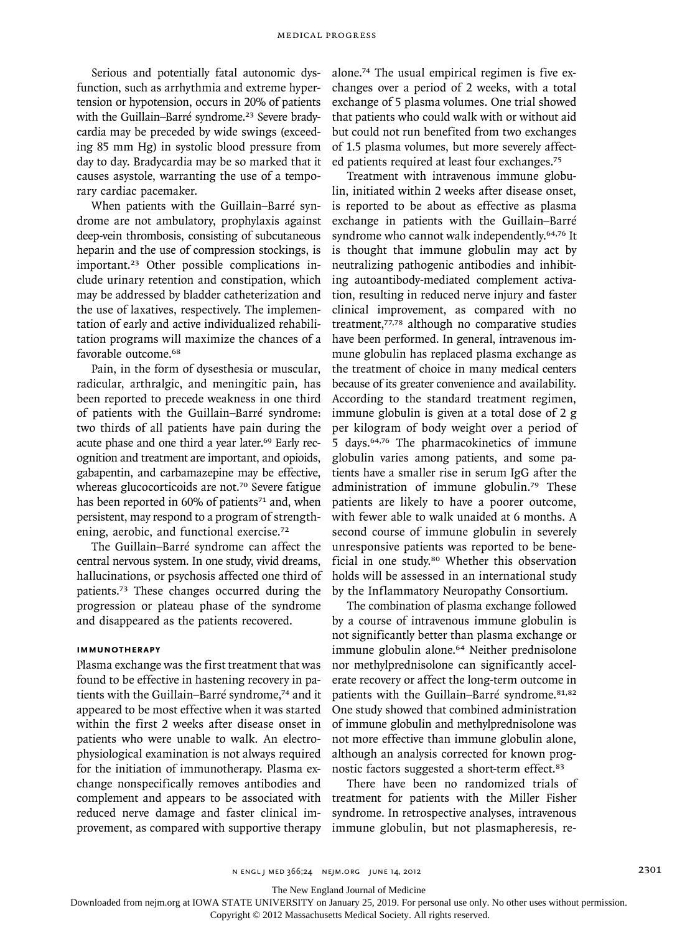Serious and potentially fatal autonomic dysfunction, such as arrhythmia and extreme hypertension or hypotension, occurs in 20% of patients with the Guillain–Barré syndrome.<sup>23</sup> Severe bradycardia may be preceded by wide swings (exceeding 85 mm Hg) in systolic blood pressure from day to day. Bradycardia may be so marked that it causes asystole, warranting the use of a temporary cardiac pacemaker.

When patients with the Guillain–Barré syndrome are not ambulatory, prophylaxis against deep-vein thrombosis, consisting of subcutaneous heparin and the use of compression stockings, is important.23 Other possible complications include urinary retention and constipation, which may be addressed by bladder catheterization and the use of laxatives, respectively. The implementation of early and active individualized rehabilitation programs will maximize the chances of a favorable outcome.<sup>68</sup>

Pain, in the form of dysesthesia or muscular, radicular, arthralgic, and meningitic pain, has been reported to precede weakness in one third of patients with the Guillain–Barré syndrome: two thirds of all patients have pain during the acute phase and one third a year later.<sup>69</sup> Early recognition and treatment are important, and opioids, gabapentin, and carbamazepine may be effective, whereas glucocorticoids are not.<sup>70</sup> Severe fatigue has been reported in 60% of patients<sup>71</sup> and, when persistent, may respond to a program of strengthening, aerobic, and functional exercise.<sup>72</sup>

The Guillain–Barré syndrome can affect the central nervous system. In one study, vivid dreams, hallucinations, or psychosis affected one third of patients.73 These changes occurred during the progression or plateau phase of the syndrome and disappeared as the patients recovered.

#### **IMMUNOTHERAPY**

Plasma exchange was the first treatment that was found to be effective in hastening recovery in patients with the Guillain–Barré syndrome,<sup>74</sup> and it appeared to be most effective when it was started within the first 2 weeks after disease onset in patients who were unable to walk. An electrophysiological examination is not always required for the initiation of immunotherapy. Plasma exchange nonspecifically removes antibodies and complement and appears to be associated with reduced nerve damage and faster clinical improvement, as compared with supportive therapy alone.74 The usual empirical regimen is five exchanges over a period of 2 weeks, with a total exchange of 5 plasma volumes. One trial showed that patients who could walk with or without aid but could not run benefited from two exchanges of 1.5 plasma volumes, but more severely affected patients required at least four exchanges.<sup>75</sup>

Treatment with intravenous immune globulin, initiated within 2 weeks after disease onset, is reported to be about as effective as plasma exchange in patients with the Guillain–Barré syndrome who cannot walk independently.<sup>64,76</sup> It is thought that immune globulin may act by neutralizing pathogenic antibodies and inhibiting autoantibody-mediated complement activation, resulting in reduced nerve injury and faster clinical improvement, as compared with no treatment,77,78 although no comparative studies have been performed. In general, intravenous immune globulin has replaced plasma exchange as the treatment of choice in many medical centers because of its greater convenience and availability. According to the standard treatment regimen, immune globulin is given at a total dose of 2 g per kilogram of body weight over a period of 5 days.64,76 The pharmacokinetics of immune globulin varies among patients, and some patients have a smaller rise in serum IgG after the administration of immune globulin.79 These patients are likely to have a poorer outcome, with fewer able to walk unaided at 6 months. A second course of immune globulin in severely unresponsive patients was reported to be beneficial in one study.<sup>80</sup> Whether this observation holds will be assessed in an international study by the Inflammatory Neuropathy Consortium.

The combination of plasma exchange followed by a course of intravenous immune globulin is not significantly better than plasma exchange or immune globulin alone.64 Neither prednisolone nor methylprednisolone can significantly accelerate recovery or affect the long-term outcome in patients with the Guillain–Barré syndrome.<sup>81,82</sup> One study showed that combined administration of immune globulin and methylprednisolone was not more effective than immune globulin alone, although an analysis corrected for known prognostic factors suggested a short-term effect.<sup>83</sup>

There have been no randomized trials of treatment for patients with the Miller Fisher syndrome. In retrospective analyses, intravenous immune globulin, but not plasmapheresis, re-

The New England Journal of Medicine

Downloaded from nejm.org at IOWA STATE UNIVERSITY on January 25, 2019. For personal use only. No other uses without permission.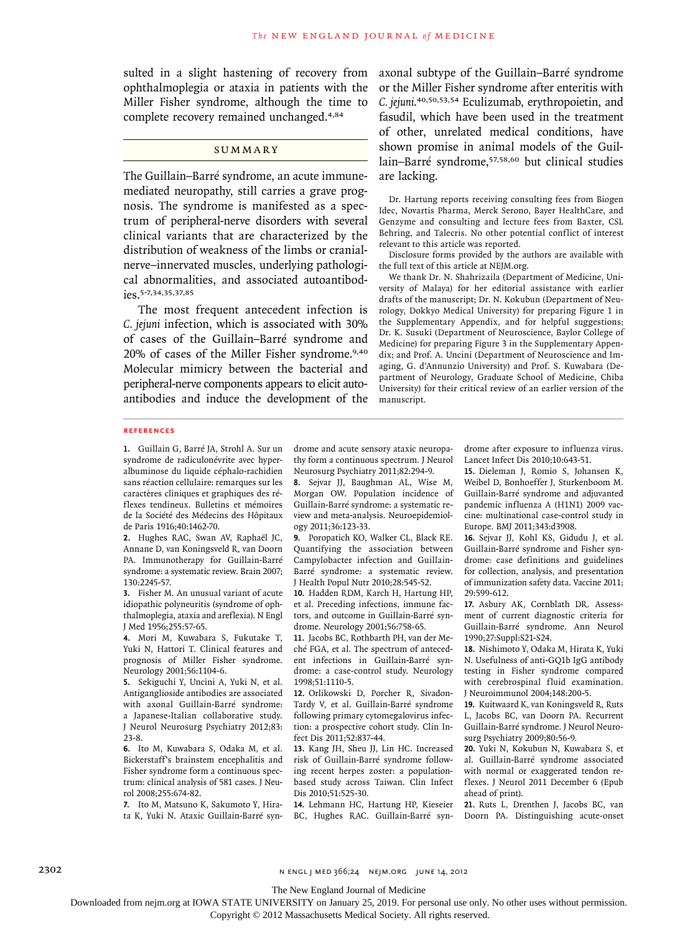sulted in a slight hastening of recovery from ophthalmoplegia or ataxia in patients with the Miller Fisher syndrome, although the time to complete recovery remained unchanged.4,84

## **SUMMARY**

The Guillain–Barré syndrome, an acute immunemediated neuropathy, still carries a grave prognosis. The syndrome is manifested as a spectrum of peripheral-nerve disorders with several clinical variants that are characterized by the distribution of weakness of the limbs or cranialnerve–innervated muscles, underlying pathological abnormalities, and associated autoantibodies.5-7,34,35,37,85

The most frequent antecedent infection is *C. jejuni* infection, which is associated with 30% of cases of the Guillain–Barré syndrome and 20% of cases of the Miller Fisher syndrome.9,40 Molecular mimicry between the bacterial and peripheral-nerve components appears to elicit autoantibodies and induce the development of the

axonal subtype of the Guillain–Barré syndrome or the Miller Fisher syndrome after enteritis with *C. jejuni*. 40,50,53,54 Eculizumab, erythropoietin, and fasudil, which have been used in the treatment of other, unrelated medical conditions, have shown promise in animal models of the Guillain–Barré syndrome,57,58,60 but clinical studies are lacking.

Dr. Hartung reports receiving consulting fees from Biogen Idec, Novartis Pharma, Merck Serono, Bayer HealthCare, and Genzyme and consulting and lecture fees from Baxter, CSL Behring, and Talecris. No other potential conflict of interest relevant to this article was reported.

Disclosure forms provided by the authors are available with the full text of this article at NEJM.org.

We thank Dr. N. Shahrizaila (Department of Medicine, University of Malaya) for her editorial assistance with earlier drafts of the manuscript; Dr. N. Kokubun (Department of Neurology, Dokkyo Medical University) for preparing Figure 1 in the Supplementary Appendix, and for helpful suggestions; Dr. K. Susuki (Department of Neuroscience, Baylor College of Medicine) for preparing Figure 3 in the Supplementary Appendix; and Prof. A. Uncini (Department of Neuroscience and Imaging, G. d'Annunzio University) and Prof. S. Kuwabara (Department of Neurology, Graduate School of Medicine, Chiba University) for their critical review of an earlier version of the manuscript.

#### **REFERENCES**

**1.** Guillain G, Barré JA, Strohl A. Sur un syndrome de radiculonévrite avec hyperalbuminose du liquide céphalo-rachidien sans réaction cellulaire: remarques sur les caractères cliniques et graphiques des réflexes tendineux. Bulletins et mémoires de la Société des Médecins des Hôpitaux de Paris 1916;40:1462-70.

**2.** Hughes RAC, Swan AV, Raphaël JC, Annane D, van Koningsveld R, van Doorn PA. Immunotherapy for Guillain-Barré syndrome: a systematic review. Brain 2007; 130:2245-57.

**3.** Fisher M. An unusual variant of acute idiopathic polyneuritis (syndrome of ophthalmoplegia, ataxia and areflexia). N Engl J Med 1956;255:57-65.

**4.** Mori M, Kuwabara S, Fukutake T, Yuki N, Hattori T. Clinical features and prognosis of Miller Fisher syndrome. Neurology 2001;56:1104-6.

**5.** Sekiguchi Y, Uncini A, Yuki N, et al. Antiganglioside antibodies are associated with axonal Guillain-Barré syndrome: a Japanese-Italian collaborative study. J Neurol Neurosurg Psychiatry 2012;83: 23-8.

**6.** Ito M, Kuwabara S, Odaka M, et al. Bickerstaff's brainstem encephalitis and Fisher syndrome form a continuous spectrum: clinical analysis of 581 cases. J Neurol 2008;255:674-82.

**7.** Ito M, Matsuno K, Sakumoto Y, Hirata K, Yuki N. Ataxic Guillain-Barré syn-

drome and acute sensory ataxic neuropathy form a continuous spectrum. J Neurol Neurosurg Psychiatry 2011;82:294-9.

**8.** Sejvar JJ, Baughman AL, Wise M, Morgan OW. Population incidence of Guillain-Barré syndrome: a systematic review and meta-analysis. Neuroepidemiology 2011;36:123-33.

**9.** Poropatich KO, Walker CL, Black RE. Quantifying the association between Campylobacter infection and Guillain-Barré syndrome: a systematic review. J Health Popul Nutr 2010;28:545-52.

**10.** Hadden RDM, Karch H, Hartung HP, et al. Preceding infections, immune factors, and outcome in Guillain-Barré syndrome. Neurology 2001;56:758-65.

**11.** Jacobs BC, Rothbarth PH, van der Meché FGA, et al. The spectrum of antecedent infections in Guillain-Barré syndrome: a case-control study. Neurology 1998;51:1110-5.

**12.** Orlikowski D, Porcher R, Sivadon-Tardy V, et al. Guillain-Barré syndrome following primary cytomegalovirus infection: a prospective cohort study. Clin Infect Dis 2011;52:837-44.

**13.** Kang JH, Sheu JJ, Lin HC. Increased risk of Guillain-Barré syndrome following recent herpes zoster: a populationbased study across Taiwan. Clin Infect Dis 2010;51:525-30.

**14.** Lehmann HC, Hartung HP, Kieseier BC, Hughes RAC. Guillain-Barré syndrome after exposure to influenza virus. Lancet Infect Dis 2010;10:643-51.

**15.** Dieleman J, Romio S, Johansen K, Weibel D, Bonhoeffer J, Sturkenboom M. Guillain-Barré syndrome and adjuvanted pandemic influenza A (H1N1) 2009 vaccine: multinational case-control study in Europe. BMJ 2011;343:d3908.

**16.** Sejvar JJ, Kohl KS, Gidudu J, et al. Guillain-Barré syndrome and Fisher syndrome: case definitions and guidelines for collection, analysis, and presentation of immunization safety data. Vaccine 2011; 29:599-612.

**17.** Asbury AK, Cornblath DR. Assessment of current diagnostic criteria for Guillain-Barré syndrome. Ann Neurol 1990;27:Suppl:S21-S24.

**18.** Nishimoto Y, Odaka M, Hirata K, Yuki N. Usefulness of anti-GQ1b IgG antibody testing in Fisher syndrome compared with cerebrospinal fluid examination. J Neuroimmunol 2004;148:200-5.

**19.** Kuitwaard K, van Koningsveld R, Ruts L, Jacobs BC, van Doorn PA. Recurrent Guillain-Barré syndrome. J Neurol Neurosurg Psychiatry 2009;80:56-9.

**20.** Yuki N, Kokubun N, Kuwabara S, et al. Guillain-Barré syndrome associated with normal or exaggerated tendon reflexes. J Neurol 2011 December 6 (Epub ahead of print).

**21.** Ruts L, Drenthen J, Jacobs BC, van Doorn PA. Distinguishing acute-onset

2302 **N ENGL J MED 366:24 NEIM.ORG JUNE 14, 2012** 

The New England Journal of Medicine

Downloaded from nejm.org at IOWA STATE UNIVERSITY on January 25, 2019. For personal use only. No other uses without permission.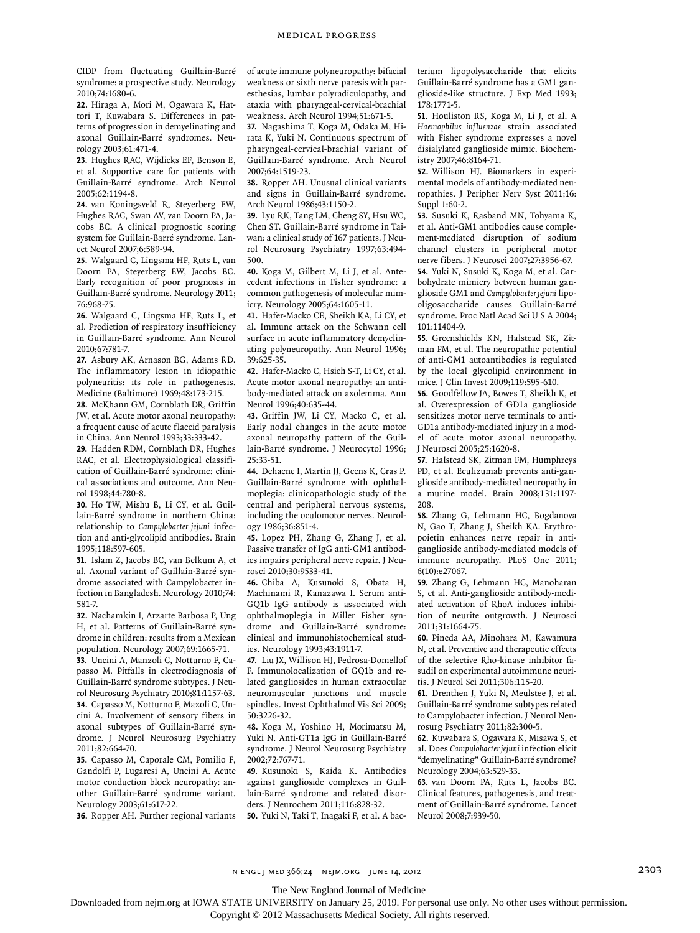CIDP from fluctuating Guillain-Barré syndrome: a prospective study. Neurology 2010;74:1680-6.

**22.** Hiraga A, Mori M, Ogawara K, Hattori T, Kuwabara S. Differences in patterns of progression in demyelinating and axonal Guillain-Barré syndromes. Neurology 2003;61:471-4.

**23.** Hughes RAC, Wijdicks EF, Benson E, et al. Supportive care for patients with Guillain-Barré syndrome. Arch Neurol 2005;62:1194-8.

**24.** van Koningsveld R, Steyerberg EW, Hughes RAC, Swan AV, van Doorn PA, Jacobs BC. A clinical prognostic scoring system for Guillain-Barré syndrome. Lancet Neurol 2007;6:589-94.

**25.** Walgaard C, Lingsma HF, Ruts L, van Doorn PA, Steyerberg EW, Jacobs BC. Early recognition of poor prognosis in Guillain-Barré syndrome. Neurology 2011; 76:968-75.

**26.** Walgaard C, Lingsma HF, Ruts L, et al. Prediction of respiratory insufficiency in Guillain-Barré syndrome. Ann Neurol 2010;67:781-7.

**27.** Asbury AK, Arnason BG, Adams RD. The inflammatory lesion in idiopathic polyneuritis: its role in pathogenesis. Medicine (Baltimore) 1969;48:173-215.

**28.** McKhann GM, Cornblath DR, Griffin JW, et al. Acute motor axonal neuropathy: a frequent cause of acute flaccid paralysis in China. Ann Neurol 1993;33:333-42.

**29.** Hadden RDM, Cornblath DR, Hughes RAC, et al. Electrophysiological classification of Guillain-Barré syndrome: clinical associations and outcome. Ann Neurol 1998;44:780-8.

**30.** Ho TW, Mishu B, Li CY, et al. Guillain-Barré syndrome in northern China: relationship to *Campylobacter jejuni* infection and anti-glycolipid antibodies. Brain 1995;118:597-605.

**31.** Islam Z, Jacobs BC, van Belkum A, et al. Axonal variant of Guillain-Barré syndrome associated with Campylobacter infection in Bangladesh. Neurology 2010;74: 581-7.

**32.** Nachamkin I, Arzarte Barbosa P, Ung H, et al. Patterns of Guillain-Barré syndrome in children: results from a Mexican population. Neurology 2007;69:1665-71.

**33.** Uncini A, Manzoli C, Notturno F, Capasso M. Pitfalls in electrodiagnosis of Guillain-Barré syndrome subtypes. J Neurol Neurosurg Psychiatry 2010;81:1157-63. **34.** Capasso M, Notturno F, Mazoli C, Uncini A. Involvement of sensory fibers in axonal subtypes of Guillain-Barré syndrome. J Neurol Neurosurg Psychiatry 2011;82:664-70.

**35.** Capasso M, Caporale CM, Pomilio F, Gandolfi P, Lugaresi A, Uncini A. Acute motor conduction block neuropathy: another Guillain-Barré syndrome variant. Neurology 2003;61:617-22.

**36.** Ropper AH. Further regional variants

of acute immune polyneuropathy: bifacial weakness or sixth nerve paresis with paresthesias, lumbar polyradiculopathy, and ataxia with pharyngeal-cervical-brachial weakness. Arch Neurol 1994;51:671-5.

**37.** Nagashima T, Koga M, Odaka M, Hirata K, Yuki N. Continuous spectrum of pharyngeal-cervical-brachial variant of Guillain-Barré syndrome. Arch Neurol 2007;64:1519-23.

**38.** Ropper AH. Unusual clinical variants and signs in Guillain-Barré syndrome. Arch Neurol 1986;43:1150-2.

**39.** Lyu RK, Tang LM, Cheng SY, Hsu WC, Chen ST. Guillain-Barré syndrome in Taiwan: a clinical study of 167 patients. J Neurol Neurosurg Psychiatry 1997;63:494- 500.

**40.** Koga M, Gilbert M, Li J, et al. Antecedent infections in Fisher syndrome: a common pathogenesis of molecular mimicry. Neurology 2005;64:1605-11.

**41.** Hafer-Macko CE, Sheikh KA, Li CY, et al. Immune attack on the Schwann cell surface in acute inflammatory demyelinating polyneuropathy. Ann Neurol 1996; 39:625-35.

**42.** Hafer-Macko C, Hsieh S-T, Li CY, et al. Acute motor axonal neuropathy: an antibody-mediated attack on axolemma. Ann Neurol 1996;40:635-44.

**43.** Griffin JW, Li CY, Macko C, et al. Early nodal changes in the acute motor axonal neuropathy pattern of the Guillain-Barré syndrome. J Neurocytol 1996; 25:33-51.

**44.** Dehaene I, Martin JJ, Geens K, Cras P. Guillain-Barré syndrome with ophthalmoplegia: clinicopathologic study of the central and peripheral nervous systems, including the oculomotor nerves. Neurology 1986;36:851-4.

**45.** Lopez PH, Zhang G, Zhang J, et al. Passive transfer of IgG anti-GM1 antibodies impairs peripheral nerve repair. J Neurosci 2010;30:9533-41.

**46.** Chiba A, Kusunoki S, Obata H, Machinami R, Kanazawa I. Serum anti-GQ1b IgG antibody is associated with ophthalmoplegia in Miller Fisher syndrome and Guillain-Barré syndrome: clinical and immunohistochemical studies. Neurology 1993;43:1911-7.

**47.** Liu JX, Willison HJ, Pedrosa-Domellof F. Immunolocalization of GQ1b and related gangliosides in human extraocular neuromuscular junctions and muscle spindles. Invest Ophthalmol Vis Sci 2009; 50:3226-32.

**48.** Koga M, Yoshino H, Morimatsu M, Yuki N. Anti-GT1a IgG in Guillain-Barré syndrome. J Neurol Neurosurg Psychiatry 2002;72:767-71.

**49.** Kusunoki S, Kaida K. Antibodies against ganglioside complexes in Guillain-Barré syndrome and related disorders. J Neurochem 2011;116:828-32.

**50.** Yuki N, Taki T, Inagaki F, et al. A bac-

terium lipopolysaccharide that elicits Guillain-Barré syndrome has a GM1 ganglioside-like structure. J Exp Med 1993; 178:1771-5.

**51.** Houliston RS, Koga M, Li J, et al. A *Haemophilus influenzae* strain associated with Fisher syndrome expresses a novel disialylated ganglioside mimic. Biochemistry 2007;46:8164-71.

**52.** Willison HJ. Biomarkers in experimental models of antibody-mediated neuropathies. J Peripher Nerv Syst 2011;16: Suppl 1:60-2.

**53.** Susuki K, Rasband MN, Tohyama K, et al. Anti-GM1 antibodies cause complement-mediated disruption of sodium channel clusters in peripheral motor nerve fibers. J Neurosci 2007;27:3956-67. **54.** Yuki N, Susuki K, Koga M, et al. Carbohydrate mimicry between human ganglioside GM1 and *Campylobacter jejuni* lipooligosaccharide causes Guillain-Barré syndrome. Proc Natl Acad Sci U S A 2004; 101:11404-9.

**55.** Greenshields KN, Halstead SK, Zitman FM, et al. The neuropathic potential of anti-GM1 autoantibodies is regulated by the local glycolipid environment in mice. J Clin Invest 2009;119:595-610.

**56.** Goodfellow JA, Bowes T, Sheikh K, et al. Overexpression of GD1a ganglioside sensitizes motor nerve terminals to anti-GD1a antibody-mediated injury in a model of acute motor axonal neuropathy. J Neurosci 2005;25:1620-8.

**57.** Halstead SK, Zitman FM, Humphreys PD, et al. Eculizumab prevents anti-ganglioside antibody-mediated neuropathy in a murine model. Brain 2008;131:1197- 208.

**58.** Zhang G, Lehmann HC, Bogdanova N, Gao T, Zhang J, Sheikh KA. Erythropoietin enhances nerve repair in antiganglioside antibody-mediated models of immune neuropathy. PLoS One 2011; 6(10):e27067.

**59.** Zhang G, Lehmann HC, Manoharan S, et al. Anti-ganglioside antibody-mediated activation of RhoA induces inhibition of neurite outgrowth. J Neurosci 2011;31:1664-75.

**60.** Pineda AA, Minohara M, Kawamura N, et al. Preventive and therapeutic effects of the selective Rho-kinase inhibitor fasudil on experimental autoimmune neuritis. J Neurol Sci 2011;306:115-20.

**61.** Drenthen J, Yuki N, Meulstee J, et al. Guillain-Barré syndrome subtypes related to Campylobacter infection. J Neurol Neurosurg Psychiatry 2011;82:300-5.

**62.** Kuwabara S, Ogawara K, Misawa S, et al. Does *Campylobacter jejuni* infection elicit "demyelinating" Guillain-Barré syndrome? Neurology 2004;63:529-33.

**63.** van Doorn PA, Ruts L, Jacobs BC. Clinical features, pathogenesis, and treatment of Guillain-Barré syndrome. Lancet Neurol 2008;7:939-50.

n engl j med 366;24 nejm.org june 14, 2012 2303

The New England Journal of Medicine

Downloaded from nejm.org at IOWA STATE UNIVERSITY on January 25, 2019. For personal use only. No other uses without permission.